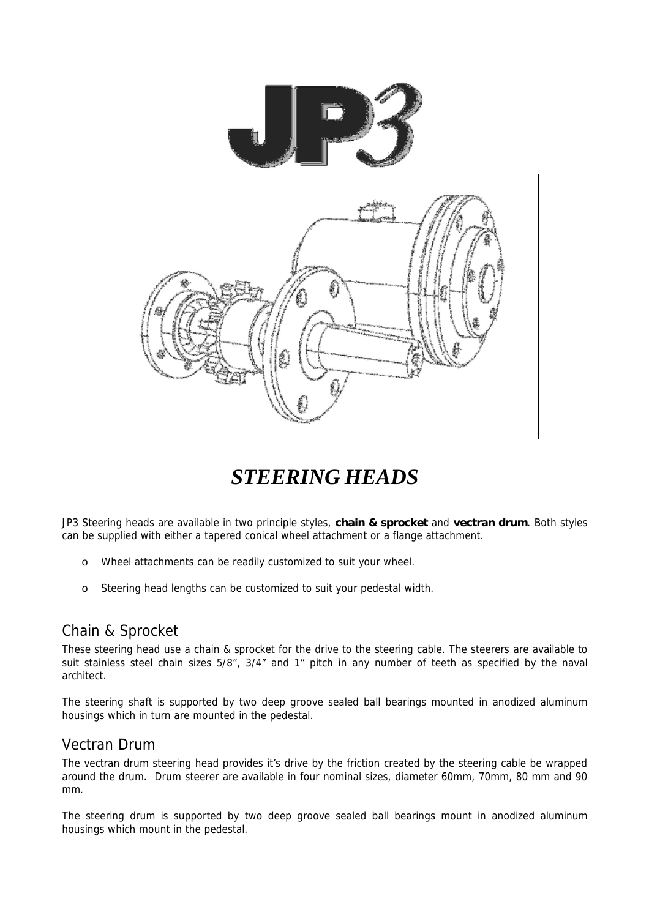

# *STEERING HEADS*

JP3 Steering heads are available in two principle styles, **chain & sprocket** and **vectran drum**. Both styles can be supplied with either a tapered conical wheel attachment or a flange attachment.

- o Wheel attachments can be readily customized to suit your wheel.
- o Steering head lengths can be customized to suit your pedestal width.

#### Chain & Sprocket

These steering head use a chain & sprocket for the drive to the steering cable. The steerers are available to suit stainless steel chain sizes 5/8", 3/4" and 1" pitch in any number of teeth as specified by the naval architect.

The steering shaft is supported by two deep groove sealed ball bearings mounted in anodized aluminum housings which in turn are mounted in the pedestal.

#### Vectran Drum

The vectran drum steering head provides it's drive by the friction created by the steering cable be wrapped around the drum. Drum steerer are available in four nominal sizes, diameter 60mm, 70mm, 80 mm and 90 mm.

The steering drum is supported by two deep groove sealed ball bearings mount in anodized aluminum housings which mount in the pedestal.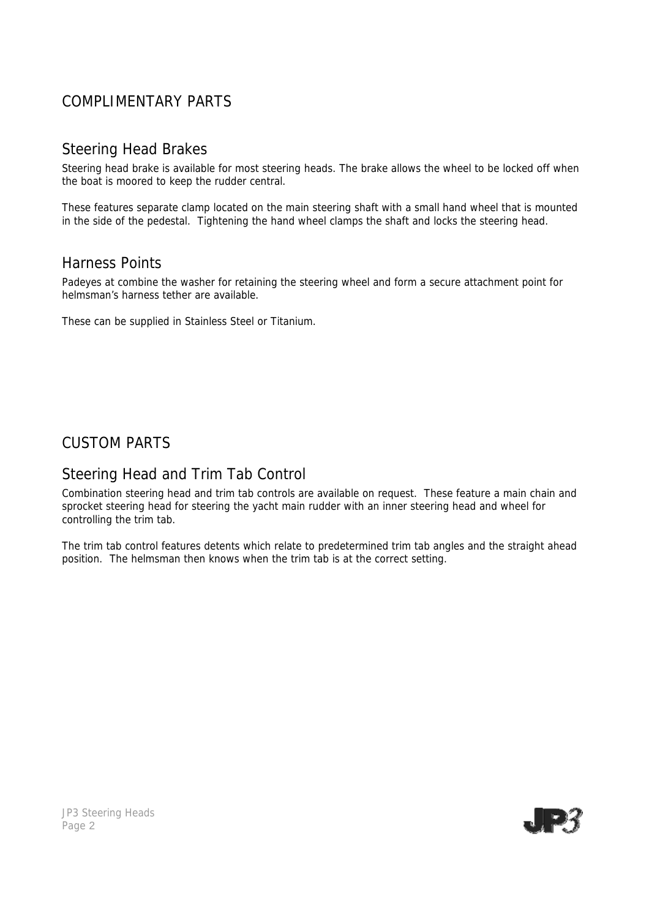# COMPLIMENTARY PARTS

## Steering Head Brakes

Steering head brake is available for most steering heads. The brake allows the wheel to be locked off when the boat is moored to keep the rudder central.

These features separate clamp located on the main steering shaft with a small hand wheel that is mounted in the side of the pedestal. Tightening the hand wheel clamps the shaft and locks the steering head.

## Harness Points

Padeyes at combine the washer for retaining the steering wheel and form a secure attachment point for helmsman's harness tether are available.

These can be supplied in Stainless Steel or Titanium.

# CUSTOM PARTS

## Steering Head and Trim Tab Control

Combination steering head and trim tab controls are available on request. These feature a main chain and sprocket steering head for steering the yacht main rudder with an inner steering head and wheel for controlling the trim tab.

The trim tab control features detents which relate to predetermined trim tab angles and the straight ahead position. The helmsman then knows when the trim tab is at the correct setting.



JP3 Steering Heads Page 2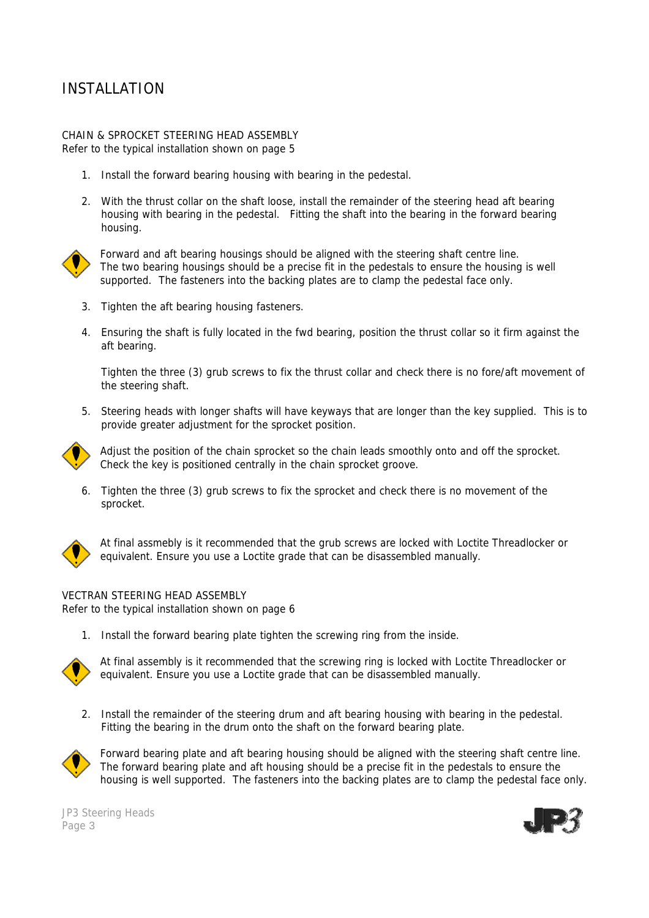# INSTALLATION

#### CHAIN & SPROCKET STEERING HEAD ASSEMBLY *Refer to the typical installation shown on page 5*

- 1. Install the forward bearing housing with bearing in the pedestal.
- 2. With the thrust collar on the shaft loose, install the remainder of the steering head aft bearing housing with bearing in the pedestal. Fitting the shaft into the bearing in the forward bearing housing.



Forward and aft bearing housings should be aligned with the steering shaft centre line. The two bearing housings should be a precise fit in the pedestals to ensure the housing is well supported. The fasteners into the backing plates are to clamp the pedestal face only.

- 3. Tighten the aft bearing housing fasteners.
- 4. Ensuring the shaft is fully located in the fwd bearing, position the thrust collar so it firm against the aft bearing.

Tighten the three (3) grub screws to fix the thrust collar and check there is no fore/aft movement of the steering shaft.

5. Steering heads with longer shafts will have keyways that are longer than the key supplied. This is to provide greater adjustment for the sprocket position.



Adjust the position of the chain sprocket so the chain leads smoothly onto and off the sprocket. Check the key is positioned centrally in the chain sprocket groove.

6. Tighten the three (3) grub screws to fix the sprocket and check there is no movement of the sprocket.



At final assmebly is it recommended that the grub screws are locked with Loctite Threadlocker or equivalent. Ensure you use a Loctite grade that can be disassembled manually.

#### VECTRAN STEERING HEAD ASSEMBLY *Refer to the typical installation shown on page 6*

1. Install the forward bearing plate tighten the screwing ring from the inside.



At final assembly is it recommended that the screwing ring is locked with Loctite Threadlocker or equivalent. Ensure you use a Loctite grade that can be disassembled manually.

2. Install the remainder of the steering drum and aft bearing housing with bearing in the pedestal. Fitting the bearing in the drum onto the shaft on the forward bearing plate.



Forward bearing plate and aft bearing housing should be aligned with the steering shaft centre line. The forward bearing plate and aft housing should be a precise fit in the pedestals to ensure the housing is well supported. The fasteners into the backing plates are to clamp the pedestal face only.

JP3 Steering Heads Page 3